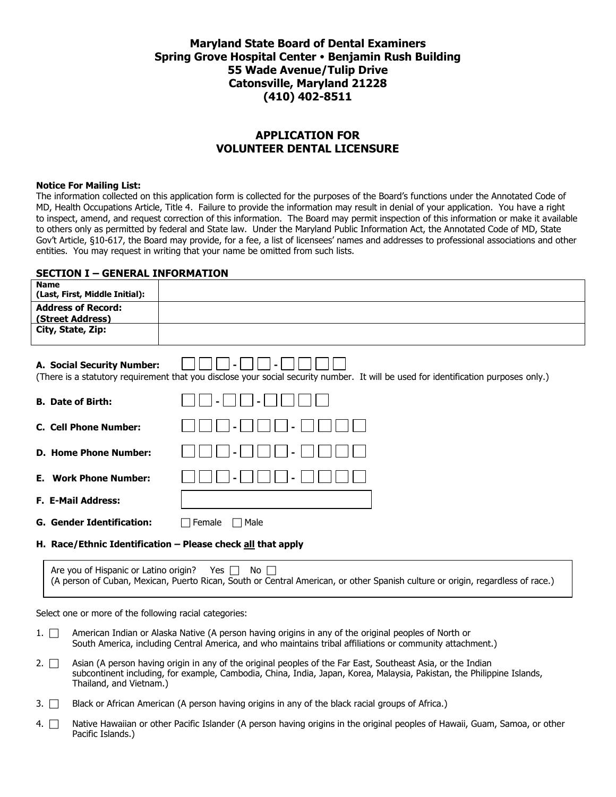## **Maryland State Board of Dental Examiners Spring Grove Hospital Center Benjamin Rush Building 55 Wade Avenue/Tulip Drive Catonsville, Maryland 21228 (410) 402-8511**

## **APPLICATION FOR VOLUNTEER DENTAL LICENSURE**

#### **Notice For Mailing List:**

The information collected on this application form is collected for the purposes of the Board's functions under the Annotated Code of MD, Health Occupations Article, Title 4. Failure to provide the information may result in denial of your application. You have a right to inspect, amend, and request correction of this information. The Board may permit inspection of this information or make it available to others only as permitted by federal and State law. Under the Maryland Public Information Act, the Annotated Code of MD, State Gov't Article, §10-617, the Board may provide, for a fee, a list of licensees' names and addresses to professional associations and other entities. You may request in writing that your name be omitted from such lists.

#### **SECTION I – GENERAL INFORMATION**

| <b>Name</b><br>(Last, First, Middle Initial):                                                                                                                     |                                                             |  |  |  |
|-------------------------------------------------------------------------------------------------------------------------------------------------------------------|-------------------------------------------------------------|--|--|--|
| <b>Address of Record:</b>                                                                                                                                         |                                                             |  |  |  |
| (Street Address)<br>City, State, Zip:                                                                                                                             |                                                             |  |  |  |
| A. Social Security Number:<br>(There is a statutory requirement that you disclose your social security number. It will be used for identification purposes only.) |                                                             |  |  |  |
| <b>B.</b> Date of Birth:                                                                                                                                          |                                                             |  |  |  |
| <b>C. Cell Phone Number:</b>                                                                                                                                      |                                                             |  |  |  |
| <b>D. Home Phone Number:</b>                                                                                                                                      |                                                             |  |  |  |
| <b>E.</b> Work Phone Number:                                                                                                                                      |                                                             |  |  |  |
| <b>F. E-Mail Address:</b>                                                                                                                                         |                                                             |  |  |  |
| <b>G. Gender Identification:</b>                                                                                                                                  | Female<br>Male<br>$\overline{\phantom{a}}$                  |  |  |  |
|                                                                                                                                                                   | H. Race/Ethnic Identification - Please check all that apply |  |  |  |
|                                                                                                                                                                   | Are you of Hispanic or Latino origin?<br>Yes<br>No.         |  |  |  |

Select one or more of the following racial categories:

- 1. <sup>American Indian or Alaska Native (A person having origins in any of the original peoples of North or</sup> South America, including Central America, and who maintains tribal affiliations or community attachment.)
- 2.  $\Box$  Asian (A person having origin in any of the original peoples of the Far East, Southeast Asia, or the Indian subcontinent including, for example, Cambodia, China, India, Japan, Korea, Malaysia, Pakistan, the Philippine Islands, Thailand, and Vietnam.)
- 3.  $\Box$  Black or African American (A person having origins in any of the black racial groups of Africa.)
- 4. <sup>N</sup>ative Hawaiian or other Pacific Islander (A person having origins in the original peoples of Hawaii, Guam, Samoa, or other Pacific Islands.)

(A person of Cuban, Mexican, Puerto Rican, South or Central American, or other Spanish culture or origin, regardless of race.)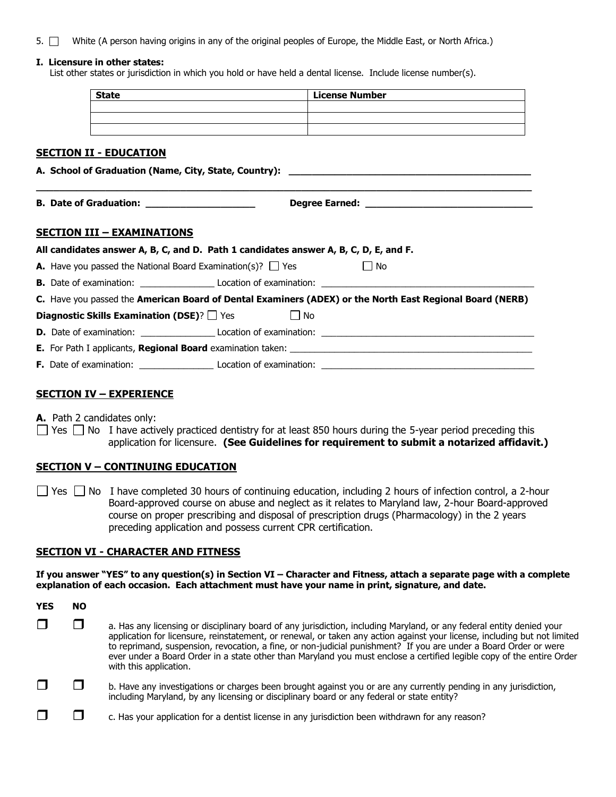5. White (A person having origins in any of the original peoples of Europe, the Middle East, or North Africa.)

#### **I. Licensure in other states:**

List other states or jurisdiction in which you hold or have held a dental license. Include license number(s).

| A. School of Graduation (Name, City, State, Country): ___________________________                        |  |  |  |
|----------------------------------------------------------------------------------------------------------|--|--|--|
|                                                                                                          |  |  |  |
|                                                                                                          |  |  |  |
|                                                                                                          |  |  |  |
|                                                                                                          |  |  |  |
|                                                                                                          |  |  |  |
|                                                                                                          |  |  |  |
|                                                                                                          |  |  |  |
| C. Have you passed the American Board of Dental Examiners (ADEX) or the North East Regional Board (NERB) |  |  |  |
|                                                                                                          |  |  |  |
|                                                                                                          |  |  |  |
|                                                                                                          |  |  |  |
|                                                                                                          |  |  |  |
|                                                                                                          |  |  |  |

## **SECTION IV – EXPERIENCE**

- **A.** Path 2 candidates only:
- $\Box$  Yes  $\Box$  No I have actively practiced dentistry for at least 850 hours during the 5-year period preceding this application for licensure. **(See Guidelines for requirement to submit a notarized affidavit.)**

#### **SECTION V – CONTINUING EDUCATION**

 $\Box$  Yes  $\Box$  No I have completed 30 hours of continuing education, including 2 hours of infection control, a 2-hour Board-approved course on abuse and neglect as it relates to Maryland law, 2-hour Board-approved course on proper prescribing and disposal of prescription drugs (Pharmacology) in the 2 years preceding application and possess current CPR certification.

#### **SECTION VI - CHARACTER AND FITNESS**

**If you answer "YES" to any question(s) in Section VI – Character and Fitness, attach a separate page with a complete explanation of each occasion. Each attachment must have your name in print, signature, and date.**

| YES | NO |                                                                                                                                                                                                                                                                                                                                                                                                                                                                                                                           |
|-----|----|---------------------------------------------------------------------------------------------------------------------------------------------------------------------------------------------------------------------------------------------------------------------------------------------------------------------------------------------------------------------------------------------------------------------------------------------------------------------------------------------------------------------------|
|     |    | a. Has any licensing or disciplinary board of any jurisdiction, including Maryland, or any federal entity denied your<br>application for licensure, reinstatement, or renewal, or taken any action against your license, including but not limited<br>to reprimand, suspension, revocation, a fine, or non-judicial punishment? If you are under a Board Order or were<br>ever under a Board Order in a state other than Maryland you must enclose a certified legible copy of the entire Order<br>with this application. |
|     |    | b. Have any investigations or charges been brought against you or are any currently pending in any jurisdiction,<br>including Maryland, by any licensing or disciplinary board or any federal or state entity?                                                                                                                                                                                                                                                                                                            |
|     |    | c. Has your application for a dentist license in any jurisdiction been withdrawn for any reason?                                                                                                                                                                                                                                                                                                                                                                                                                          |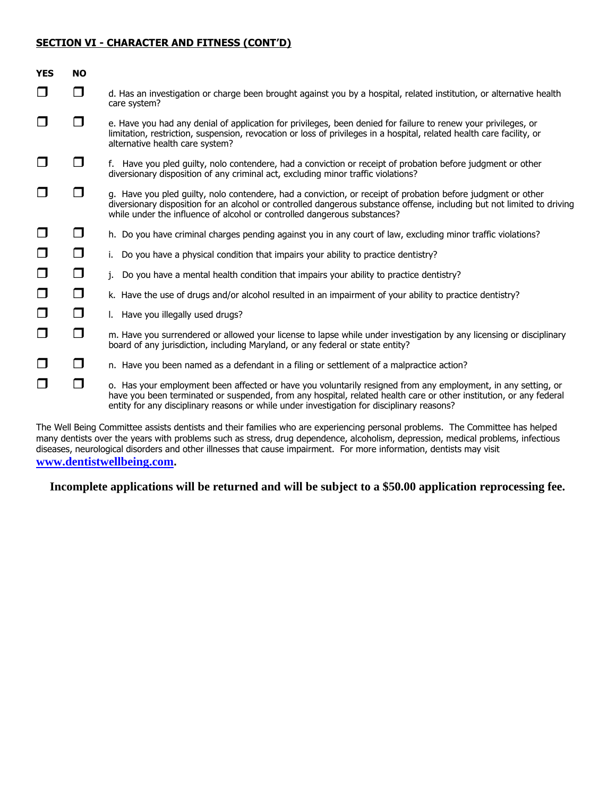### **SECTION VI - CHARACTER AND FITNESS (CONT'D)**

| <b>YES</b> | <b>NO</b> |                                                                                                                                                                                                                                                                                                                                   |
|------------|-----------|-----------------------------------------------------------------------------------------------------------------------------------------------------------------------------------------------------------------------------------------------------------------------------------------------------------------------------------|
| $\Box$     | □         | d. Has an investigation or charge been brought against you by a hospital, related institution, or alternative health<br>care system?                                                                                                                                                                                              |
|            | $\Box$    | e. Have you had any denial of application for privileges, been denied for failure to renew your privileges, or<br>limitation, restriction, suspension, revocation or loss of privileges in a hospital, related health care facility, or<br>alternative health care system?                                                        |
|            | $\Box$    | f. Have you pled guilty, nolo contendere, had a conviction or receipt of probation before judgment or other<br>diversionary disposition of any criminal act, excluding minor traffic violations?                                                                                                                                  |
|            | □         | g. Have you pled guilty, nolo contendere, had a conviction, or receipt of probation before judgment or other<br>diversionary disposition for an alcohol or controlled dangerous substance offense, including but not limited to driving<br>while under the influence of alcohol or controlled dangerous substances?               |
|            | $\Box$    | h. Do you have criminal charges pending against you in any court of law, excluding minor traffic violations?                                                                                                                                                                                                                      |
| $\Box$     | $\Box$    | i. Do you have a physical condition that impairs your ability to practice dentistry?                                                                                                                                                                                                                                              |
| $\Box$     | $\Box$    | Do you have a mental health condition that impairs your ability to practice dentistry?<br>j.                                                                                                                                                                                                                                      |
| $\Box$     | $\Box$    | k. Have the use of drugs and/or alcohol resulted in an impairment of your ability to practice dentistry?                                                                                                                                                                                                                          |
| $\Box$     | $\Box$    | I. Have you illegally used drugs?                                                                                                                                                                                                                                                                                                 |
| $\Box$     | $\Box$    | m. Have you surrendered or allowed your license to lapse while under investigation by any licensing or disciplinary<br>board of any jurisdiction, including Maryland, or any federal or state entity?                                                                                                                             |
| ⊔          | □         | n. Have you been named as a defendant in a filing or settlement of a malpractice action?                                                                                                                                                                                                                                          |
|            | □         | o. Has your employment been affected or have you voluntarily resigned from any employment, in any setting, or<br>have you been terminated or suspended, from any hospital, related health care or other institution, or any federal<br>entity for any disciplinary reasons or while under investigation for disciplinary reasons? |
|            |           |                                                                                                                                                                                                                                                                                                                                   |

The Well Being Committee assists dentists and their families who are experiencing personal problems. The Committee has helped many dentists over the years with problems such as stress, drug dependence, alcoholism, depression, medical problems, infectious diseases, neurological disorders and other illnesses that cause impairment. For more information, dentists may visit **[www.dentistwellbeing.com](http://www.denistwellbeing,com/).**

### **Incomplete applications will be returned and will be subject to a \$50.00 application reprocessing fee.**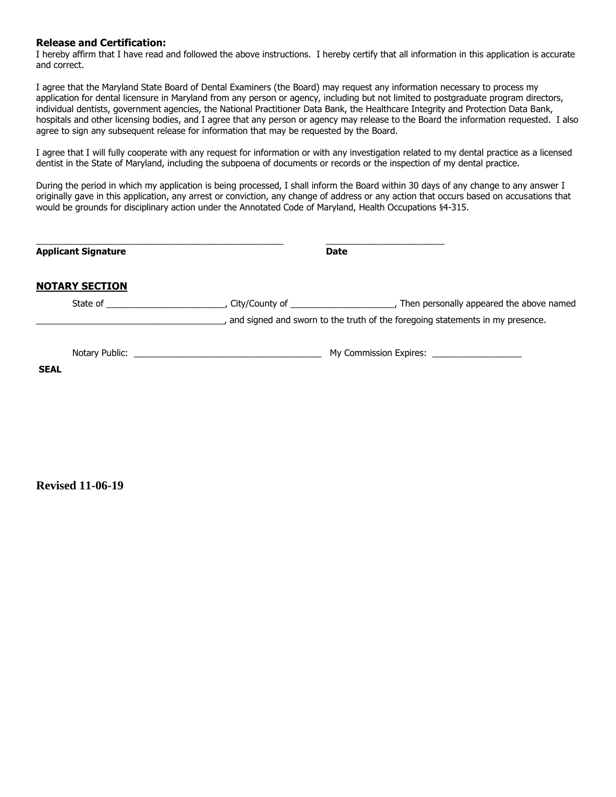#### **Release and Certification:**

I hereby affirm that I have read and followed the above instructions. I hereby certify that all information in this application is accurate and correct.

I agree that the Maryland State Board of Dental Examiners (the Board) may request any information necessary to process my application for dental licensure in Maryland from any person or agency, including but not limited to postgraduate program directors, individual dentists, government agencies, the National Practitioner Data Bank, the Healthcare Integrity and Protection Data Bank, hospitals and other licensing bodies, and I agree that any person or agency may release to the Board the information requested. I also agree to sign any subsequent release for information that may be requested by the Board.

I agree that I will fully cooperate with any request for information or with any investigation related to my dental practice as a licensed dentist in the State of Maryland, including the subpoena of documents or records or the inspection of my dental practice.

During the period in which my application is being processed, I shall inform the Board within 30 days of any change to any answer I originally gave in this application, any arrest or conviction, any change of address or any action that occurs based on accusations that would be grounds for disciplinary action under the Annotated Code of Maryland, Health Occupations §4-315.

| <b>Applicant Signature</b> |  | <b>Date</b> |                                                                               |
|----------------------------|--|-------------|-------------------------------------------------------------------------------|
| <b>NOTARY SECTION</b>      |  |             |                                                                               |
|                            |  |             | and signed and sworn to the truth of the foregoing statements in my presence. |
| <b>SEAL</b>                |  |             | My Commission Expires: _____________________                                  |

**Revised 11-06-19**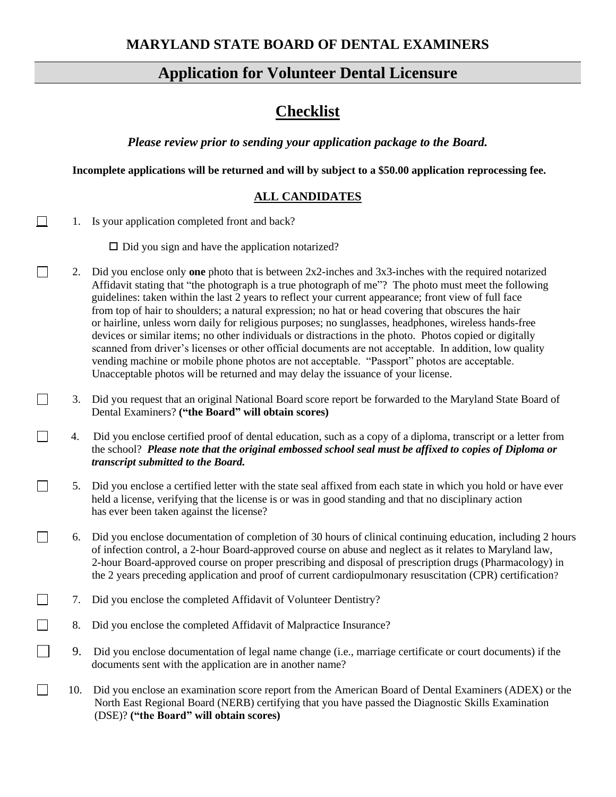# **Application for Volunteer Dental Licensure**

# **Checklist**

*Please review prior to sending your application package to the Board.*

**Incomplete applications will be returned and will by subject to a \$50.00 application reprocessing fee.**

## **ALL CANDIDATES**

1. Is your application completed front and back?

 $\Box$ 

 $\Box$ 

 $\Box$ 

 $\Box$ 

 $\Box$ 

 $\Box$ 

 $\Box$  Did you sign and have the application notarized?

- 2. Did you enclose only **one** photo that is between 2x2-inches and 3x3-inches with the required notarized Affidavit stating that "the photograph is a true photograph of me"? The photo must meet the following guidelines: taken within the last 2 years to reflect your current appearance; front view of full face from top of hair to shoulders; a natural expression; no hat or head covering that obscures the hair or hairline, unless worn daily for religious purposes; no sunglasses, headphones, wireless hands-free devices or similar items; no other individuals or distractions in the photo. Photos copied or digitally scanned from driver's licenses or other official documents are not acceptable. In addition, low quality vending machine or mobile phone photos are not acceptable. "Passport" photos are acceptable. Unacceptable photos will be returned and may delay the issuance of your license.
- 3. Did you request that an original National Board score report be forwarded to the Maryland State Board of Dental Examiners? **("the Board" will obtain scores)**
- 4. Did you enclose certified proof of dental education, such as a copy of a diploma, transcript or a letter from the school? *Please note that the original embossed school seal must be affixed to copies of Diploma or transcript submitted to the Board.*
	- 5. Did you enclose a certified letter with the state seal affixed from each state in which you hold or have ever held a license, verifying that the license is or was in good standing and that no disciplinary action has ever been taken against the license?
	- 6. Did you enclose documentation of completion of 30 hours of clinical continuing education, including 2 hours of infection control, a 2-hour Board-approved course on abuse and neglect as it relates to Maryland law, 2-hour Board-approved course on proper prescribing and disposal of prescription drugs (Pharmacology) in the 2 years preceding application and proof of current cardiopulmonary resuscitation (CPR) certification?
- $\Box$ 7. Did you enclose the completed Affidavit of Volunteer Dentistry?
- $\Box$ 8. Did you enclose the completed Affidavit of Malpractice Insurance?
	- 9. Did you enclose documentation of legal name change (i.e., marriage certificate or court documents) if the documents sent with the application are in another name?
- 10. Did you enclose an examination score report from the American Board of Dental Examiners (ADEX) or the North East Regional Board (NERB) certifying that you have passed the Diagnostic Skills Examination (DSE)? **("the Board" will obtain scores)**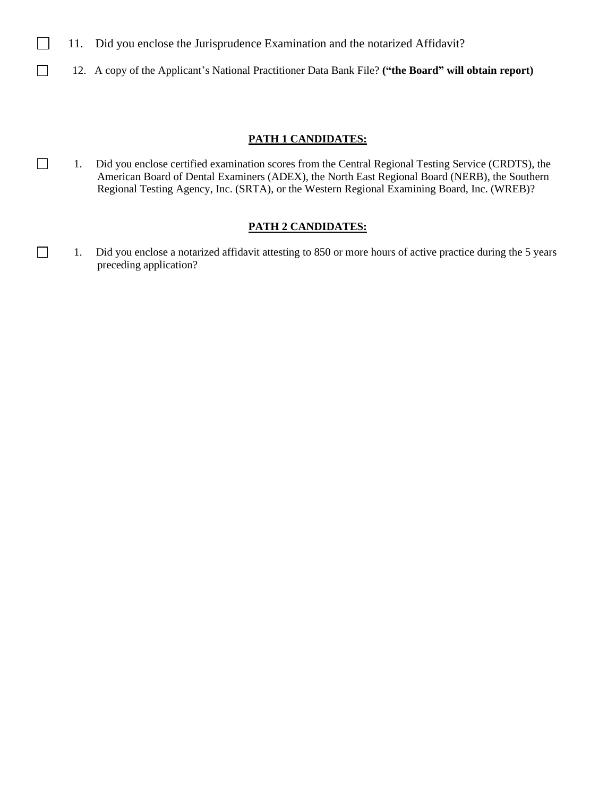- 11. Did you enclose the Jurisprudence Examination and the notarized Affidavit?
- $\Box$ 12. A copy of the Applicant's National Practitioner Data Bank File? **("the Board" will obtain report)**

#### **PATH 1 CANDIDATES:**

 1. Did you enclose certified examination scores from the Central Regional Testing Service (CRDTS), the American Board of Dental Examiners (ADEX), the North East Regional Board (NERB), the Southern Regional Testing Agency, Inc. (SRTA), or the Western Regional Examining Board, Inc. (WREB)?

### **PATH 2 CANDIDATES:**

 1. Did you enclose a notarized affidavit attesting to 850 or more hours of active practice during the 5 years preceding application?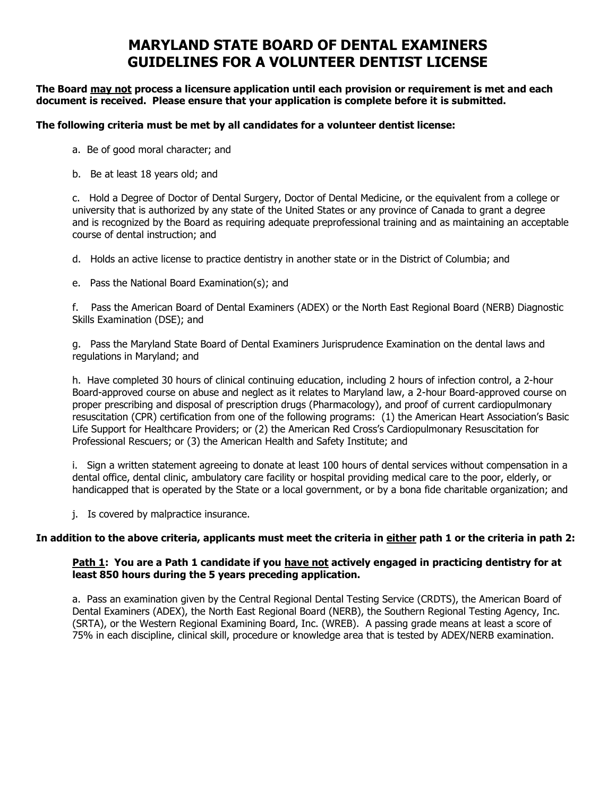# **MARYLAND STATE BOARD OF DENTAL EXAMINERS GUIDELINES FOR A VOLUNTEER DENTIST LICENSE**

**The Board may not process a licensure application until each provision or requirement is met and each document is received. Please ensure that your application is complete before it is submitted.**

#### **The following criteria must be met by all candidates for a volunteer dentist license:**

- a. Be of good moral character; and
- b. Be at least 18 years old; and

c. Hold a Degree of Doctor of Dental Surgery, Doctor of Dental Medicine, or the equivalent from a college or university that is authorized by any state of the United States or any province of Canada to grant a degree and is recognized by the Board as requiring adequate preprofessional training and as maintaining an acceptable course of dental instruction; and

d. Holds an active license to practice dentistry in another state or in the District of Columbia; and

e. Pass the National Board Examination(s); and

f. Pass the American Board of Dental Examiners (ADEX) or the North East Regional Board (NERB) Diagnostic Skills Examination (DSE); and

g. Pass the Maryland State Board of Dental Examiners Jurisprudence Examination on the dental laws and regulations in Maryland; and

h. Have completed 30 hours of clinical continuing education, including 2 hours of infection control, a 2-hour Board-approved course on abuse and neglect as it relates to Maryland law, a 2-hour Board-approved course on proper prescribing and disposal of prescription drugs (Pharmacology), and proof of current cardiopulmonary resuscitation (CPR) certification from one of the following programs: (1) the American Heart Association's Basic Life Support for Healthcare Providers; or (2) the American Red Cross's Cardiopulmonary Resuscitation for Professional Rescuers; or (3) the American Health and Safety Institute; and

i. Sign a written statement agreeing to donate at least 100 hours of dental services without compensation in a dental office, dental clinic, ambulatory care facility or hospital providing medical care to the poor, elderly, or handicapped that is operated by the State or a local government, or by a bona fide charitable organization; and

j. Is covered by malpractice insurance.

### **In addition to the above criteria, applicants must meet the criteria in either path 1 or the criteria in path 2:**

#### **Path 1: You are a Path 1 candidate if you have not actively engaged in practicing dentistry for at least 850 hours during the 5 years preceding application.**

a. Pass an examination given by the Central Regional Dental Testing Service (CRDTS), the American Board of Dental Examiners (ADEX), the North East Regional Board (NERB), the Southern Regional Testing Agency, Inc. (SRTA), or the Western Regional Examining Board, Inc. (WREB). A passing grade means at least a score of 75% in each discipline, clinical skill, procedure or knowledge area that is tested by ADEX/NERB examination.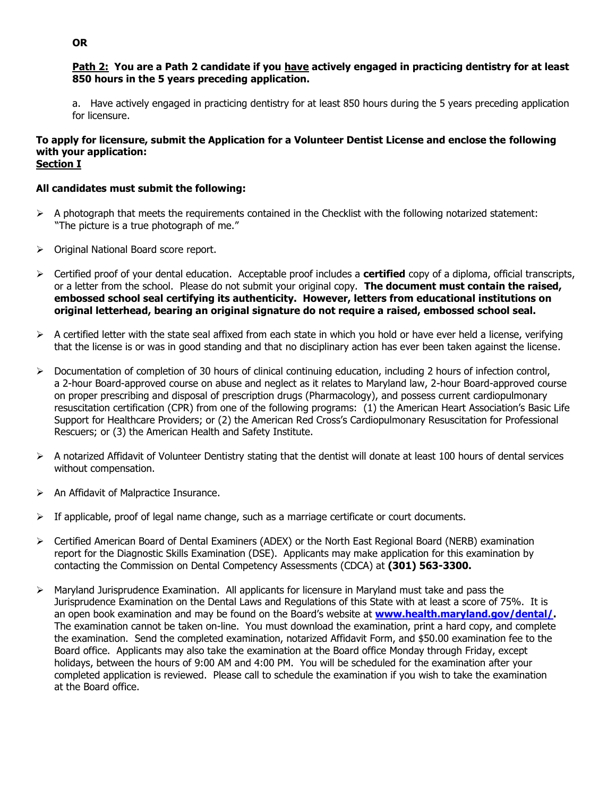#### **Path 2: You are a Path 2 candidate if you have actively engaged in practicing dentistry for at least 850 hours in the 5 years preceding application.**

a. Have actively engaged in practicing dentistry for at least 850 hours during the 5 years preceding application for licensure.

#### **To apply for licensure, submit the Application for a Volunteer Dentist License and enclose the following with your application: Section I**

### **All candidates must submit the following:**

- $\triangleright$  A photograph that meets the requirements contained in the Checklist with the following notarized statement: "The picture is a true photograph of me."
- ➢ Original National Board score report.
- ➢ Certified proof of your dental education. Acceptable proof includes a **certified** copy of a diploma, official transcripts, or a letter from the school. Please do not submit your original copy. **The document must contain the raised, embossed school seal certifying its authenticity. However, letters from educational institutions on original letterhead, bearing an original signature do not require a raised, embossed school seal.**
- $\triangleright$  A certified letter with the state seal affixed from each state in which you hold or have ever held a license, verifying that the license is or was in good standing and that no disciplinary action has ever been taken against the license.
- ➢ Documentation of completion of 30 hours of clinical continuing education, including 2 hours of infection control, a 2-hour Board-approved course on abuse and neglect as it relates to Maryland law, 2-hour Board-approved course on proper prescribing and disposal of prescription drugs (Pharmacology), and possess current cardiopulmonary resuscitation certification (CPR) from one of the following programs: (1) the American Heart Association's Basic Life Support for Healthcare Providers; or (2) the American Red Cross's Cardiopulmonary Resuscitation for Professional Rescuers; or (3) the American Health and Safety Institute.
- $\triangleright$  A notarized Affidavit of Volunteer Dentistry stating that the dentist will donate at least 100 hours of dental services without compensation.
- $\triangleright$  An Affidavit of Malpractice Insurance.
- $\triangleright$  If applicable, proof of legal name change, such as a marriage certificate or court documents.
- ➢ Certified American Board of Dental Examiners (ADEX) or the North East Regional Board (NERB) examination report for the Diagnostic Skills Examination (DSE). Applicants may make application for this examination by contacting the Commission on Dental Competency Assessments (CDCA) at **(301) 563-3300.**
- $\triangleright$  Maryland Jurisprudence Examination. All applicants for licensure in Maryland must take and pass the Jurisprudence Examination on the Dental Laws and Regulations of this State with at least a score of 75%. It is an open book examination and may be found on the Board's website at **[www.health.maryland.gov/dental/.](http://www.health.maryland.gov/dental/)** The examination cannot be taken on-line. You must download the examination, print a hard copy, and complete the examination. Send the completed examination, notarized Affidavit Form, and \$50.00 examination fee to the Board office. Applicants may also take the examination at the Board office Monday through Friday, except holidays, between the hours of 9:00 AM and 4:00 PM. You will be scheduled for the examination after your completed application is reviewed. Please call to schedule the examination if you wish to take the examination at the Board office.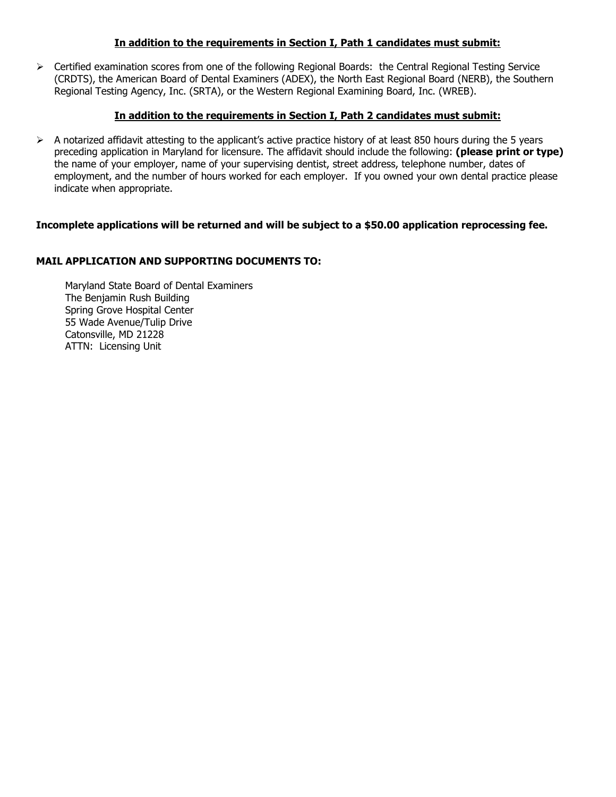### **In addition to the requirements in Section I, Path 1 candidates must submit:**

➢ Certified examination scores from one of the following Regional Boards: the Central Regional Testing Service (CRDTS), the American Board of Dental Examiners (ADEX), the North East Regional Board (NERB), the Southern Regional Testing Agency, Inc. (SRTA), or the Western Regional Examining Board, Inc. (WREB).

## **In addition to the requirements in Section I, Path 2 candidates must submit:**

 $\triangleright$  A notarized affidavit attesting to the applicant's active practice history of at least 850 hours during the 5 years preceding application in Maryland for licensure. The affidavit should include the following: **(please print or type)** the name of your employer, name of your supervising dentist, street address, telephone number, dates of employment, and the number of hours worked for each employer. If you owned your own dental practice please indicate when appropriate.

## **Incomplete applications will be returned and will be subject to a \$50.00 application reprocessing fee.**

## **MAIL APPLICATION AND SUPPORTING DOCUMENTS TO:**

Maryland State Board of Dental Examiners The Benjamin Rush Building Spring Grove Hospital Center 55 Wade Avenue/Tulip Drive Catonsville, MD 21228 ATTN: Licensing Unit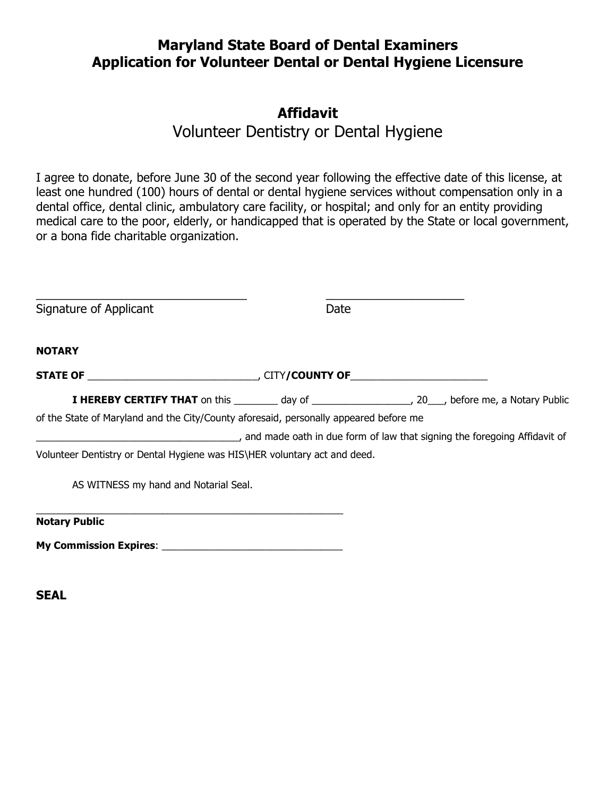## **Maryland State Board of Dental Examiners Application for Volunteer Dental or Dental Hygiene Licensure**

# **Affidavit**

Volunteer Dentistry or Dental Hygiene

I agree to donate, before June 30 of the second year following the effective date of this license, at least one hundred (100) hours of dental or dental hygiene services without compensation only in a dental office, dental clinic, ambulatory care facility, or hospital; and only for an entity providing medical care to the poor, elderly, or handicapped that is operated by the State or local government, or a bona fide charitable organization.

| Signature of Applicant                                                                                               | Date |                                                                                                                  |
|----------------------------------------------------------------------------------------------------------------------|------|------------------------------------------------------------------------------------------------------------------|
| <b>NOTARY</b>                                                                                                        |      |                                                                                                                  |
|                                                                                                                      |      |                                                                                                                  |
|                                                                                                                      |      | <b>I HEREBY CERTIFY THAT</b> on this _________ day of _______________________, 20___, before me, a Notary Public |
| of the State of Maryland and the City/County aforesaid, personally appeared before me                                |      |                                                                                                                  |
| and made oath in due form of law that signing the foregoing Affidavit of law that signing the foregoing Affidavit of |      |                                                                                                                  |
| Volunteer Dentistry or Dental Hygiene was HIS\HER voluntary act and deed.                                            |      |                                                                                                                  |
| AS WITNESS my hand and Notarial Seal.                                                                                |      |                                                                                                                  |
| <b>Notary Public</b>                                                                                                 |      |                                                                                                                  |
| <b>My Commission Expires:</b>                                                                                        |      |                                                                                                                  |

**SEAL**